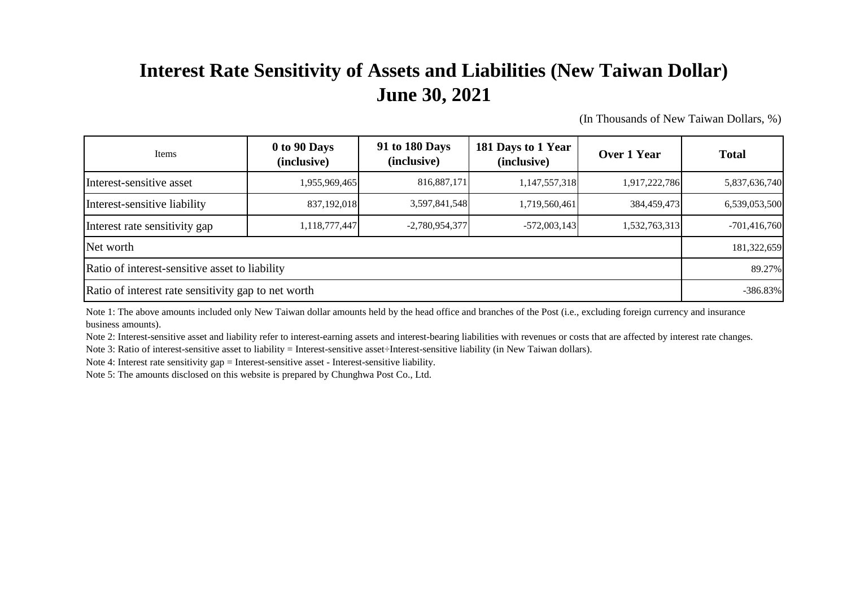## **Interest Rate Sensitivity of Assets and Liabilities (New Taiwan Dollar) June 30, 2021**

(In Thousands of New Taiwan Dollars, %)

| Items                                               | 0 to 90 Days<br>(inclusive) | 91 to 180 Days<br>(inclusive) | 181 Days to 1 Year<br>(inclusive) | <b>Over 1 Year</b> | <b>Total</b>   |
|-----------------------------------------------------|-----------------------------|-------------------------------|-----------------------------------|--------------------|----------------|
| Interest-sensitive asset                            | 1,955,969,465               | 816,887,171                   | 1,147,557,318                     | 1,917,222,786      | 5,837,636,740  |
| Interest-sensitive liability                        | 837,192,018                 | 3,597,841,548                 | 1,719,560,461                     | 384,459,473        | 6,539,053,500  |
| Interest rate sensitivity gap                       | 1,118,777,447               | $-2,780,954,377$              | $-572,003,143$                    | 1,532,763,313      | $-701,416,760$ |
| Net worth                                           |                             |                               |                                   |                    |                |
| Ratio of interest-sensitive asset to liability      |                             |                               |                                   |                    |                |
| Ratio of interest rate sensitivity gap to net worth |                             |                               |                                   |                    | $-386.83%$     |

Note 1: The above amounts included only New Taiwan dollar amounts held by the head office and branches of the Post (i.e., excluding foreign currency and insurance business amounts).

Note 2: Interest-sensitive asset and liability refer to interest-earning assets and interest-bearing liabilities with revenues or costs that are affected by interest rate changes.

Note 3: Ratio of interest-sensitive asset to liability = Interest-sensitive asset÷Interest-sensitive liability (in New Taiwan dollars).

Note 4: Interest rate sensitivity gap = Interest-sensitive asset - Interest-sensitive liability.

Note 5: The amounts disclosed on this website is prepared by Chunghwa Post Co., Ltd.